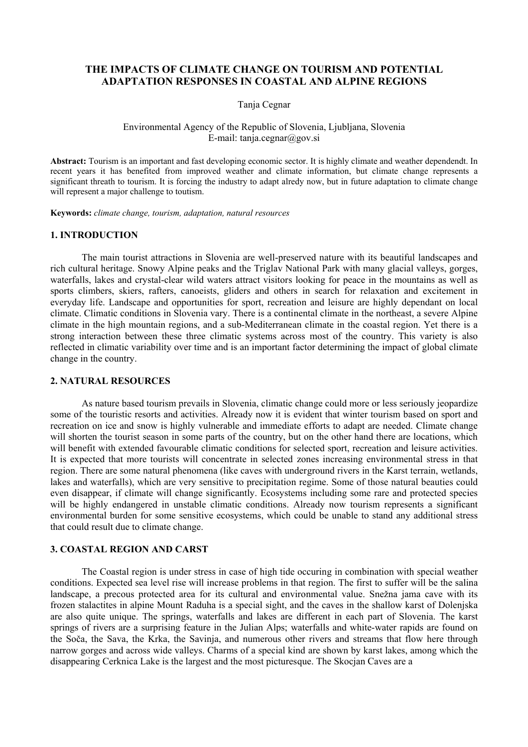# **THE IMPACTS OF CLIMATE CHANGE ON TOURISM AND POTENTIAL ADAPTATION RESPONSES IN COASTAL AND ALPINE REGIONS**

Tanja Cegnar

### Environmental Agency of the Republic of Slovenia, Ljubljana, Slovenia E-mail: tanja.cegnar@gov.si

**Abstract:** Tourism is an important and fast developing economic sector. It is highly climate and weather dependendt. In recent years it has benefited from improved weather and climate information, but climate change represents a significant threath to tourism. It is forcing the industry to adapt alredy now, but in future adaptation to climate change will represent a major challenge to toutism.

**Keywords:** *climate change, tourism, adaptation, natural resources* 

### **1. INTRODUCTION**

The main tourist attractions in Slovenia are well-preserved nature with its beautiful landscapes and rich cultural heritage. Snowy Alpine peaks and the Triglav National Park with many glacial valleys, gorges, waterfalls, lakes and crystal-clear wild waters attract visitors looking for peace in the mountains as well as sports climbers, skiers, rafters, canoeists, gliders and others in search for relaxation and excitement in everyday life. Landscape and opportunities for sport, recreation and leisure are highly dependant on local climate. Climatic conditions in Slovenia vary. There is a continental climate in the northeast, a severe Alpine climate in the high mountain regions, and a sub-Mediterranean climate in the coastal region. Yet there is a strong interaction between these three climatic systems across most of the country. This variety is also reflected in climatic variability over time and is an important factor determining the impact of global climate change in the country.

#### **2. NATURAL RESOURCES**

As nature based tourism prevails in Slovenia, climatic change could more or less seriously jeopardize some of the touristic resorts and activities. Already now it is evident that winter tourism based on sport and recreation on ice and snow is highly vulnerable and immediate efforts to adapt are needed. Climate change will shorten the tourist season in some parts of the country, but on the other hand there are locations, which will benefit with extended favourable climatic conditions for selected sport, recreation and leisure activities. It is expected that more tourists will concentrate in selected zones increasing environmental stress in that region. There are some natural phenomena (like caves with underground rivers in the Karst terrain, wetlands, lakes and waterfalls), which are very sensitive to precipitation regime. Some of those natural beauties could even disappear, if climate will change significantly. Ecosystems including some rare and protected species will be highly endangered in unstable climatic conditions. Already now tourism represents a significant environmental burden for some sensitive ecosystems, which could be unable to stand any additional stress that could result due to climate change.

## **3. COASTAL REGION AND CARST**

The Coastal region is under stress in case of high tide occuring in combination with special weather conditions. Expected sea level rise will increase problems in that region. The first to suffer will be the salina landscape, a precous protected area for its cultural and environmental value. Snežna jama cave with its frozen stalactites in alpine Mount Raduha is a special sight, and the caves in the shallow karst of Dolenjska are also quite unique. The springs, waterfalls and lakes are different in each part of Slovenia. The karst springs of rivers are a surprising feature in the Julian Alps; waterfalls and white-water rapids are found on the Soča, the Sava, the Krka, the Savinja, and numerous other rivers and streams that flow here through narrow gorges and across wide valleys. Charms of a special kind are shown by karst lakes, among which the disappearing Cerknica Lake is the largest and the most picturesque. The Skocjan Caves are a